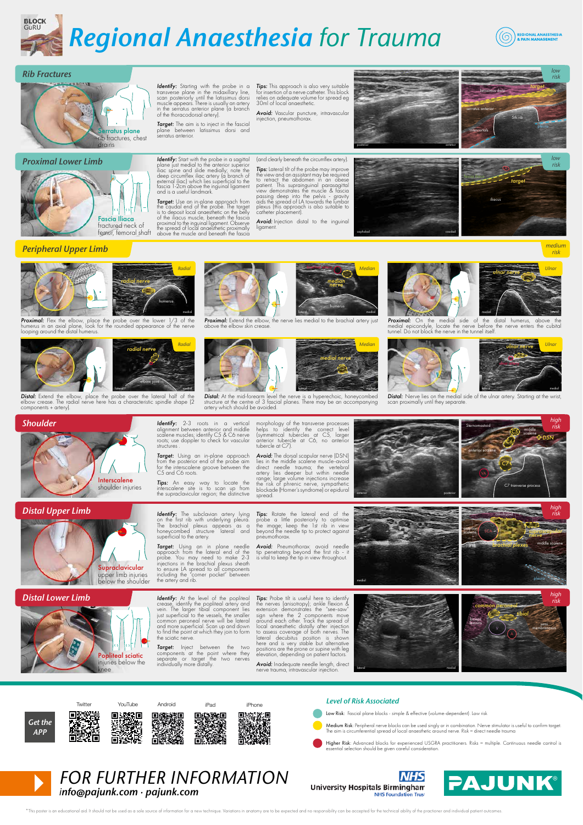



#### *Rib Fractures*



#### *Proximal Lower Limb*



**Identify:** Starting with the probe in a<br>transverse plane in the midaxilary line<br>scan posteriorly until the latissimus dorsi<br>muscle appears. There is usually an artery<br>in the serratus anterior plane (a branch<br>of the thorac

*Target:* The aim is to inject in the fascial plane between latissimus dorsi and plane between<br>serratus anterior.

**Identify:** Start with the probe in a sogittal<br>plane just medial to the anterior superior<br>liac spine and slide medially, note the<br>deep circumflex liac artery (a branch of<br>exercal liac) which lies superficial to the<br>tascia

*Target: Use an in-plane approach from*<br>the caudal end of the probe. The target is to deposit local anaesthetic on the belly of the iliacus muscle, beneath the fascia proximal to the inguinal ligament. Observe the spread of local anaesthetic proximally above the muscle and beneath the fascia *Tips:* This approach is also very suitable for insertion of a nerve catheter. This block relies on adequate volume for spread eg 30ml of local anaesthetic.

*Avoid:* Vascular puncture, intravascular injection, pneumothorax.

(and clearly beneath the circumflex artery). **Tips:** Lateral tilt of the probe may improve the view and an assistant may be required to retract the abdomen in an obese patient. This suprainguinal parasagittal view demonstrates the muscle & fascial passing deep into the pelvis - gravity aids the spread of LA towards the lumbar plexus (this approach is also suitable to catheter placement).

*Avoid:* Injection distal to the inguinal ligament.

brachial artery

*median nerve*





caphalad caudad

fascia iliaca iliacus A *risk target*

## *Peripheral Upper Limb*



**Proximal:** Flex the elbow, place the probe over the lower 1/3 of the humerus in an axial plane, look for the rounded appearance of the nerve look included.<br>In axial plane,<br>und the distal hu

lateral

*radial nerve*

elbow joint

humerus

*Radial*



**Distal:** Extend the elbow, place the probe over the lateral half of the elbow crease. The radial nerve here has a characteristic spindle shape (2 components + artery).



**Proximal:** Extend the elbow, the nerve lies medial to the brachial artery



spread.

pneumothorax.

**Distal:** At the mid-forearm level the nerve is a hyperechoic, honeycombed<br>
structure at the centre of 3 fascial planes. There may be an accompanying<br>
artery which should be avoided.

medial *Median*



humerus

*Median*





*medium risk*

*low*

**Proximal:** On the medial side of the distal humerus, above the medial epicondyle, locate the nerve before the nerve enters the cubitational property of the nerve in the tunnel itself medial epicondyle, locate the nerve before the nerve enters the cubital tunnel. Do not block the nerve in the tunnel itself.





C7 tranverse process

*C6 C5*

*C7*

omohyoid

middle scalene

*DSN*

*high risk*

*Distal:* Nerve lies on the medial side of the ulnar artery. Starting at the w<br>scan proximally until they separate.

Sternomastoid

anterior scalene

**SCA** 

1st rib *brachial plexes*

anterior scalene



Interscalene shoulder injuries

*Distal Upper Limb*

*Distal Lower Limb*



structures *Target:* Using an in-plane approach<br>from the posterior end of the probe aim<br>for the interscalene groove between the<br>C5 and C6 roots. morphology of the transverse processes<br>helps to identify the correct level<br>(symmetrical tubercles at C5, larger<br>anterior tubercle at C6, no anterior<br>tubercle at C7). **Avoid:** The dorsal scopular news (DSN)<br>lies in the middle scalene muscle-avoid<br>direct meedle trauma; the vertebral<br>artery lies deeper but within needle<br>crange; large volume injections increase<br>the risk of phrenic nerve, s

*Identify:* 2-3 roots in a vertical alignment between anterior and middle scalene muscles; identify C5 & C6 nerve roots; use doppler to check for vascular

*Tips:* An easy way to locate the interscalene site is to scan up from the supraclavicular region; the distinctive

*Identify:* The subclavian artery lying on the first rib with underlying pleura.<br>The brachial plexus appears as a honeycombed structure lateral and superficial to the artery.

**Target:** Using an in plane needle<br>probe. You may need to make 2-3<br>probe. You may need to make 2-3<br>injections in the brachilal plexus sheadth<br>to ensure LA spread to all components<br>including the "coner pocket" between<br>the a

**Identify:** At the level of the popliteal<br>crease, identify the popliteal artery and<br>vein. The larger tibial component lies<br>just superficial to the vessels, the smaller<br>common peroneal neve will be lateral<br>and more superfic

*Target:* Inject between the two components at the point where they separate or target the two nerves individually more distally.

**Tips:** Probe tilt is useful here to identify the nerves (antisotropy); ankle flexion & extension demonstrates the "see-sow" sign where the 2 components move<br>accound a conduction of the seed of the components are also also

*Tips:* Rotate the lateral end of the probe a little posteriorly to optimise the image; keep the 1st rib in view beyond the needle tip to protect against

*Avoid:* Pneumothorax: avoid needle tip penetrating beyond the first rib - it is vital to keep the tip in view throughout.

*Avoid:* Inadequate needle length, direct nerve trauma , intravascular injection.



anterior posterior posterior posterior posterior posterior posterior posterior posterior posterior posterior p



pleura

middle scalene

*high risk*

*suprascapular nerve*



Popliteal sciatic niuries below the knee

#### *Level of Risk Associated*

- Low Risk: Fascial plane blocks simple & effective (volume-dependent). Low risk
- Medium Risk: Peripheral nerve blocks can be used singly or in combination. Nerve stimulator is useful to confirm target.<br>The aim is circumferential spread of local anaesthetic around nerve. Risk = direct needle trauma

Higher Risk: Advanced blocks for experienced USGRA practitioners. Risks = multiple. Continuous needle control is essential selection should be given careful consideration.



*FOR FURTHER INFORMATION info@pajunk.com · pajunk.com*





\*This poster is an educational aid. It should not be used as a sole source of information for a new technique. Variations in anatomy are to be expected and no responsibility can be accepted for the technical ability of the